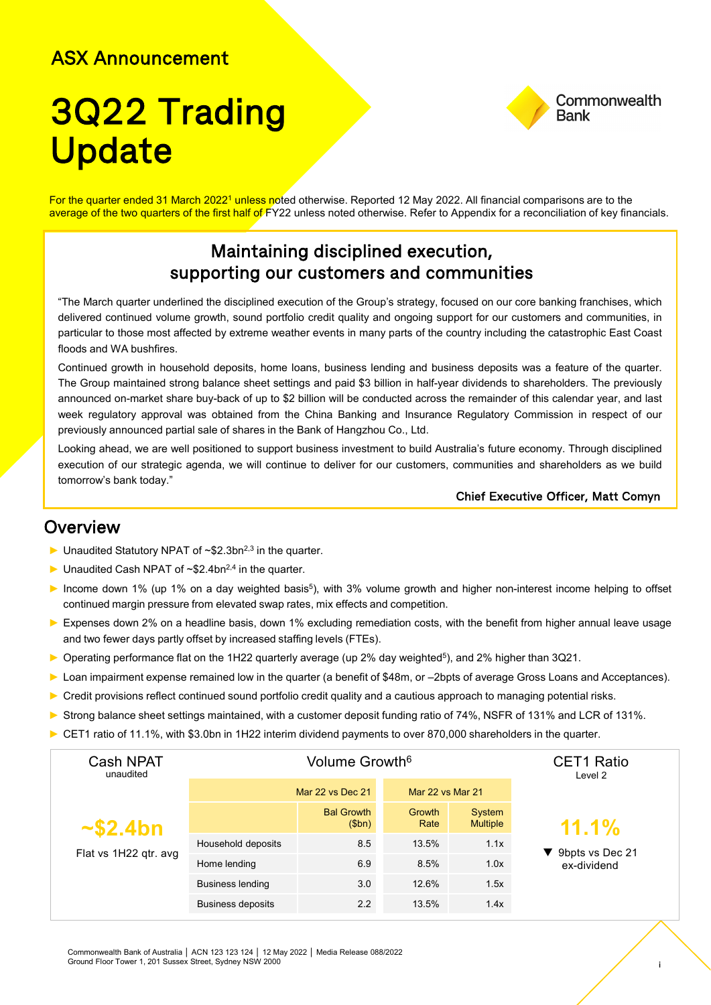### ASX Announcement

# 3Q22 Trading **Update**



For the quarter ended 31 March 2022<sup>1</sup> unless noted otherwise. Reported 12 May 2022. All financial comparisons are to the average of the two quarters of the first half of FY22 unless noted otherwise. Refer to Appendix for a reconciliation of key financials.

### Maintaining disciplined execution, supporting our customers and communities

"The March quarter underlined the disciplined execution of the Group's strategy, focused on our core banking franchises, which delivered continued volume growth, sound portfolio credit quality and ongoing support for our customers and communities, in particular to those most affected by extreme weather events in many parts of the country including the catastrophic East Coast floods and WA bushfires.

Continued growth in household deposits, home loans, business lending and business deposits was a feature of the quarter. The Group maintained strong balance sheet settings and paid \$3 billion in half-year dividends to shareholders. The previously announced on-market share buy-back of up to \$2 billion will be conducted across the remainder of this calendar year, and last week regulatory approval was obtained from the China Banking and Insurance Regulatory Commission in respect of our previously announced partial sale of shares in the Bank of Hangzhou Co., Ltd.

Looking ahead, we are well positioned to support business investment to build Australia's future economy. Through disciplined execution of our strategic agenda, we will continue to deliver for our customers, communities and shareholders as we build tomorrow's bank today."

#### Chief Executive Officer, Matt Comyn

#### **Overview**

- ► Unaudited Statutory NPAT of ~\$2.3bn2,3 in the quarter.
- $\blacktriangleright$  Unaudited Cash NPAT of ~\$2.4bn<sup>2,4</sup> in the quarter.
- ► Income down 1% (up 1% on a day weighted basis<sup>5</sup>), with 3% volume growth and higher non-interest income helping to offset continued margin pressure from elevated swap rates, mix effects and competition.
- ► Expenses down 2% on a headline basis, down 1% excluding remediation costs, with the benefit from higher annual leave usage and two fewer days partly offset by increased staffing levels (FTEs).
- ► Operating performance flat on the 1H22 quarterly average (up 2% day weighted<sup>5</sup>), and 2% higher than 3Q21.
- ► Loan impairment expense remained low in the quarter (a benefit of \$48m, or –2bpts of average Gross Loans and Acceptances).
- ► Credit provisions reflect continued sound portfolio credit quality and a cautious approach to managing potential risks.
- ► Strong balance sheet settings maintained, with a customer deposit funding ratio of 74%, NSFR of 131% and LCR of 131%.
- ► CET1 ratio of 11.1%, with \$3.0bn in 1H22 interim dividend payments to over 870,000 shareholders in the quarter.

| <b>Cash NPAT</b><br>unaudited<br>$\sim$ \$2.4bn<br>Flat vs 1H22 qtr. avg | Volume Growth <sup>6</sup> |                            |                  |                           | <b>CET1 Ratio</b><br>Level 2 |
|--------------------------------------------------------------------------|----------------------------|----------------------------|------------------|---------------------------|------------------------------|
|                                                                          | Mar 22 vs Dec 21           |                            | Mar 22 vs Mar 21 |                           |                              |
|                                                                          |                            | <b>Bal Growth</b><br>\$bn) | Growth<br>Rate   | System<br><b>Multiple</b> | 11.1%                        |
|                                                                          | Household deposits         | 8.5                        | 13.5%            | 1.1x                      | 9bpts vs Dec 21              |
|                                                                          | Home lending               | 6.9                        | 8.5%             | 1.0x                      | ex-dividend                  |
|                                                                          | <b>Business lending</b>    | 3.0                        | 12.6%            | 1.5x                      |                              |
|                                                                          | <b>Business deposits</b>   | 2.2                        | 13.5%            | 1.4x                      |                              |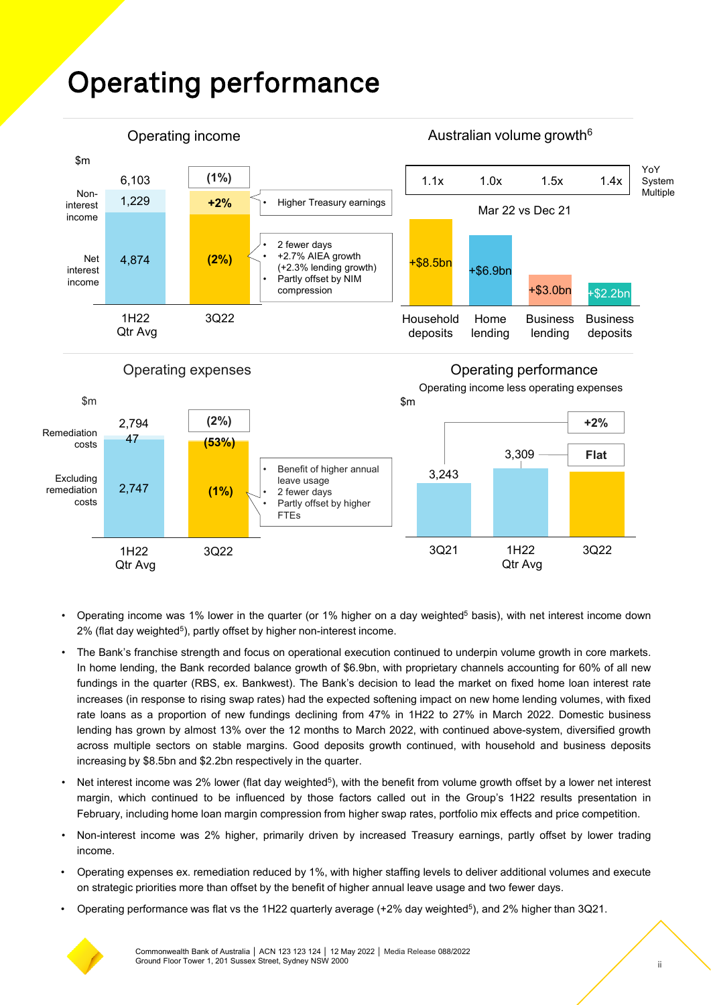## Operating performance



- Operating income was 1% lower in the quarter (or 1% higher on a day weighted<sup>5</sup> basis), with net interest income down 2% (flat day weighted<sup>5</sup>), partly offset by higher non-interest income.
- The Bank's franchise strength and focus on operational execution continued to underpin volume growth in core markets. In home lending, the Bank recorded balance growth of \$6.9bn, with proprietary channels accounting for 60% of all new fundings in the quarter (RBS, ex. Bankwest). The Bank's decision to lead the market on fixed home loan interest rate increases (in response to rising swap rates) had the expected softening impact on new home lending volumes, with fixed rate loans as a proportion of new fundings declining from 47% in 1H22 to 27% in March 2022. Domestic business lending has grown by almost 13% over the 12 months to March 2022, with continued above-system, diversified growth across multiple sectors on stable margins. Good deposits growth continued, with household and business deposits increasing by \$8.5bn and \$2.2bn respectively in the quarter.
- Net interest income was 2% lower (flat day weighted<sup>5</sup>), with the benefit from volume growth offset by a lower net interest margin, which continued to be influenced by those factors called out in the Group's 1H22 results presentation in February, including home loan margin compression from higher swap rates, portfolio mix effects and price competition.
- Non-interest income was 2% higher, primarily driven by increased Treasury earnings, partly offset by lower trading income.
- Operating expenses ex. remediation reduced by 1%, with higher staffing levels to deliver additional volumes and execute on strategic priorities more than offset by the benefit of higher annual leave usage and two fewer days.
- Operating performance was flat vs the 1H22 quarterly average (+2% day weighted5), and 2% higher than 3Q21.

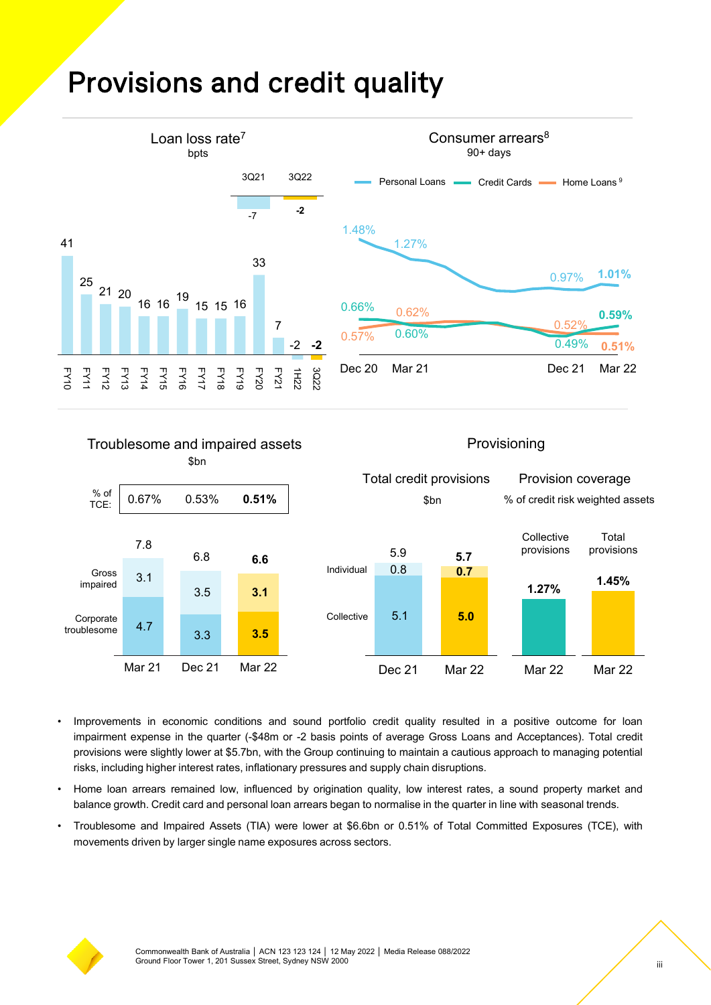### Provisions and credit quality



#### Troublesome and impaired assets \$bn

#### Provisioning



- Improvements in economic conditions and sound portfolio credit quality resulted in a positive outcome for loan impairment expense in the quarter (-\$48m or -2 basis points of average Gross Loans and Acceptances). Total credit provisions were slightly lower at \$5.7bn, with the Group continuing to maintain a cautious approach to managing potential risks, including higher interest rates, inflationary pressures and supply chain disruptions.
- Home loan arrears remained low, influenced by origination quality, low interest rates, a sound property market and balance growth. Credit card and personal loan arrears began to normalise in the quarter in line with seasonal trends.
- Troublesome and Impaired Assets (TIA) were lower at \$6.6bn or 0.51% of Total Committed Exposures (TCE), with movements driven by larger single name exposures across sectors.

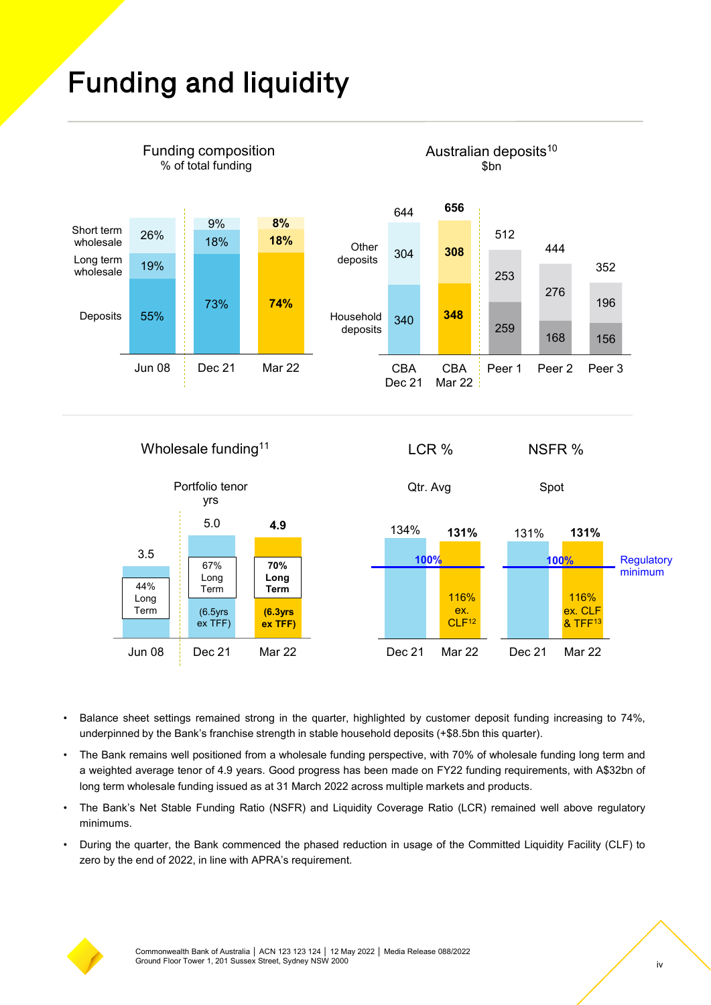## Funding and liquidity

Jun 08 Dec 21 Mar 22

(6.5yrs ex TFF)

**(6.3yrs ex TFF)**



• Balance sheet settings remained strong in the quarter, highlighted by customer deposit funding increasing to 74%, underpinned by the Bank's franchise strength in stable household deposits (+\$8.5bn this quarter).

Dec 21 Mar 22

CLF<sup>12</sup>

- The Bank remains well positioned from a wholesale funding perspective, with 70% of wholesale funding long term and a weighted average tenor of 4.9 years. Good progress has been made on FY22 funding requirements, with A\$32bn of long term wholesale funding issued as at 31 March 2022 across multiple markets and products.
- The Bank's Net Stable Funding Ratio (NSFR) and Liquidity Coverage Ratio (LCR) remained well above regulatory minimums.
- During the quarter, the Bank commenced the phased reduction in usage of the Committed Liquidity Facility (CLF) to zero by the end of 2022, in line with APRA's requirement.



Dec 21 Mar 22

& TFF13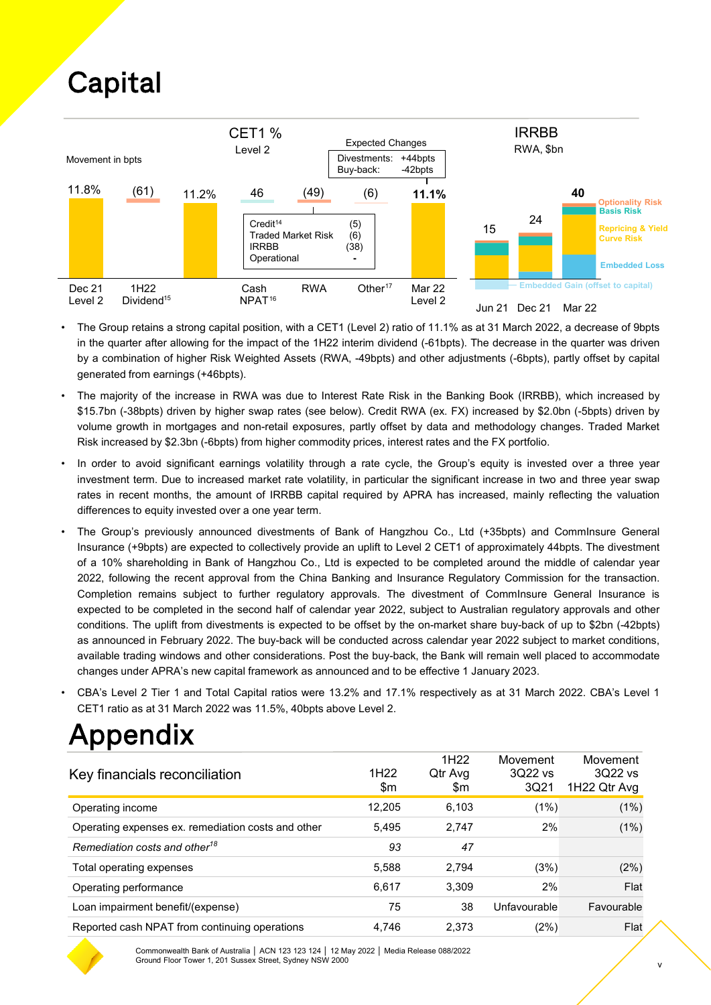## **Capital**



- The Group retains a strong capital position, with a CET1 (Level 2) ratio of 11.1% as at 31 March 2022, a decrease of 9bpts in the quarter after allowing for the impact of the 1H22 interim dividend (-61bpts). The decrease in the quarter was driven by a combination of higher Risk Weighted Assets (RWA, -49bpts) and other adjustments (-6bpts), partly offset by capital generated from earnings (+46bpts).
- The majority of the increase in RWA was due to Interest Rate Risk in the Banking Book (IRRBB), which increased by \$15.7bn (-38bpts) driven by higher swap rates (see below). Credit RWA (ex. FX) increased by \$2.0bn (-5bpts) driven by volume growth in mortgages and non-retail exposures, partly offset by data and methodology changes. Traded Market Risk increased by \$2.3bn (-6bpts) from higher commodity prices, interest rates and the FX portfolio.
- In order to avoid significant earnings volatility through a rate cycle, the Group's equity is invested over a three year investment term. Due to increased market rate volatility, in particular the significant increase in two and three year swap rates in recent months, the amount of IRRBB capital required by APRA has increased, mainly reflecting the valuation differences to equity invested over a one year term.
- The Group's previously announced divestments of Bank of Hangzhou Co., Ltd (+35bpts) and CommInsure General Insurance (+9bpts) are expected to collectively provide an uplift to Level 2 CET1 of approximately 44bpts. The divestment of a 10% shareholding in Bank of Hangzhou Co., Ltd is expected to be completed around the middle of calendar year 2022, following the recent approval from the China Banking and Insurance Regulatory Commission for the transaction. Completion remains subject to further regulatory approvals. The divestment of CommInsure General Insurance is expected to be completed in the second half of calendar year 2022, subject to Australian regulatory approvals and other conditions. The uplift from divestments is expected to be offset by the on-market share buy-back of up to \$2bn (-42bpts) as announced in February 2022. The buy-back will be conducted across calendar year 2022 subject to market conditions, available trading windows and other considerations. Post the buy-back, the Bank will remain well placed to accommodate changes under APRA's new capital framework as announced and to be effective 1 January 2023.
- CBA's Level 2 Tier 1 and Total Capital ratios were 13.2% and 17.1% respectively as at 31 March 2022. CBA's Level 1 CET1 ratio as at 31 March 2022 was 11.5%, 40bpts above Level 2.

## Appendix

| Key financials reconciliation                      | 1H <sub>22</sub><br>\$m | 1H <sub>22</sub><br>Qtr Avg<br>\$m | Movement<br>3Q22 vs<br>3Q21 | Movement<br>3Q22 vs<br>1H22 Qtr Avg |
|----------------------------------------------------|-------------------------|------------------------------------|-----------------------------|-------------------------------------|
| Operating income                                   | 12.205                  | 6.103                              | (1%)                        | (1%)                                |
| Operating expenses ex. remediation costs and other | 5,495                   | 2.747                              | 2%                          | (1%)                                |
| Remediation costs and other <sup>18</sup>          | 93                      | 47                                 |                             |                                     |
| Total operating expenses                           | 5,588                   | 2.794                              | (3%)                        | (2%)                                |
| Operating performance                              | 6,617                   | 3.309                              | 2%                          | Flat                                |
| Loan impairment benefit/(expense)                  | 75                      | 38                                 | Unfavourable                | Favourable                          |
| Reported cash NPAT from continuing operations      | 4.746                   | 2.373                              | (2%)                        | Flat                                |



Commonwealth Bank of Australia │ ACN 123 123 124 │ 12 May 2022 │ Media Release 088/2022 Ground Floor Tower 1, 201 Sussex Street, Sydney NSW 2000